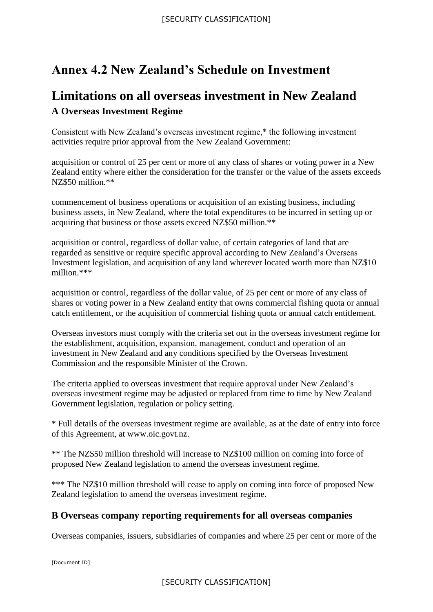## **Annex 4.2 New Zealand's Schedule on Investment**

## **Limitations on all overseas investment in New Zealand A Overseas Investment Regime**

Consistent with New Zealand's overseas investment regime,\* the following investment activities require prior approval from the New Zealand Government:

acquisition or control of 25 per cent or more of any class of shares or voting power in a New Zealand entity where either the consideration for the transfer or the value of the assets exceeds NZ\$50 million \*\*

commencement of business operations or acquisition of an existing business, including business assets, in New Zealand, where the total expenditures to be incurred in setting up or acquiring that business or those assets exceed NZ\$50 million.\*\*

acquisition or control, regardless of dollar value, of certain categories of land that are regarded as sensitive or require specific approval according to New Zealand's Overseas Investment legislation, and acquisition of any land wherever located worth more than NZ\$10 million.\*\*\*

acquisition or control, regardless of the dollar value, of 25 per cent or more of any class of shares or voting power in a New Zealand entity that owns commercial fishing quota or annual catch entitlement, or the acquisition of commercial fishing quota or annual catch entitlement.

Overseas investors must comply with the criteria set out in the overseas investment regime for the establishment, acquisition, expansion, management, conduct and operation of an investment in New Zealand and any conditions specified by the Overseas Investment Commission and the responsible Minister of the Crown.

The criteria applied to overseas investment that require approval under New Zealand's overseas investment regime may be adjusted or replaced from time to time by New Zealand Government legislation, regulation or policy setting.

\* Full details of the overseas investment regime are available, as at the date of entry into force of this Agreement, at www.oic.govt.nz.

\*\* The NZ\$50 million threshold will increase to NZ\$100 million on coming into force of proposed New Zealand legislation to amend the overseas investment regime.

\*\*\* The NZ\$10 million threshold will cease to apply on coming into force of proposed New Zealand legislation to amend the overseas investment regime.

## **B Overseas company reporting requirements for all overseas companies**

Overseas companies, issuers, subsidiaries of companies and where 25 per cent or more of the

[Document ID]